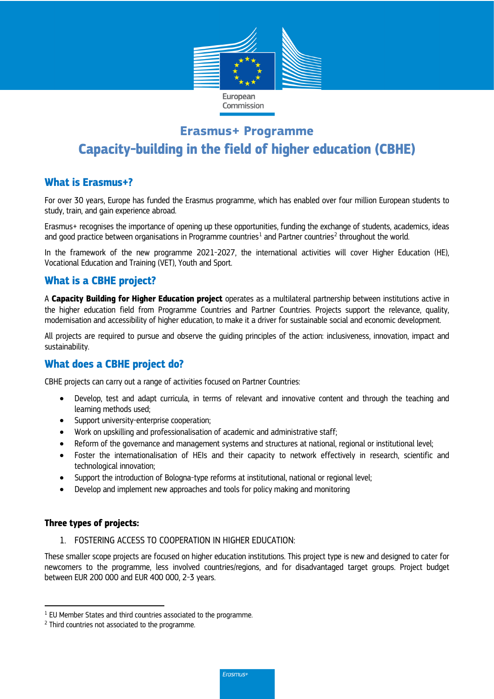

# **Erasmus+ Programme Capacity-building in the field of higher education (CBHE)**

# **What is Erasmus+?**

For over 30 years, Europe has funded the Erasmus programme, which has enabled over four million European students to study, train, and gain experience abroad.

Erasmus+ recognises the importance of opening up these opportunities, funding the exchange of students, academics, ideas and good practice between organisations in Programme countries<sup>[1](#page-0-0)</sup> and Partner countries<sup>[2](#page-0-1)</sup> throughout the world.

In the framework of the new programme 2021-2027, the international activities will cover Higher Education (HE), Vocational Education and Training (VET), Youth and Sport.

# **What is a CBHE project?**

A **Capacity Building for Higher Education project** operates as a multilateral partnership between institutions active in the higher education field from Programme Countries and Partner Countries. Projects support the relevance, quality, modernisation and accessibility of higher education, to make it a driver for sustainable social and economic development.

All projects are required to pursue and observe the guiding principles of the action: inclusiveness, innovation, impact and sustainability.

# **What does a CBHE project do?**

CBHE projects can carry out a range of activities focused on Partner Countries:

- Develop, test and adapt curricula, in terms of relevant and innovative content and through the teaching and learning methods used;
- Support university-enterprise cooperation;
- Work on upskilling and professionalisation of academic and administrative staff;
- Reform of the governance and management systems and structures at national, regional or institutional level;
- Foster the internationalisation of HEIs and their capacity to network effectively in research, scientific and technological innovation;
- Support the introduction of Bologna-type reforms at institutional, national or regional level;
- Develop and implement new approaches and tools for policy making and monitoring

### **Three types of projects:**

l

1. FOSTERING ACCESS TO COOPERATION IN HIGHER EDUCATION:

These smaller scope projects are focused on higher education institutions. This project type is new and designed to cater for newcomers to the programme, less involved countries/regions, and for disadvantaged target groups. Project budget between EUR 200 000 and EUR 400 000, 2-3 years.

<span id="page-0-0"></span><sup>&</sup>lt;sup>1</sup> EU Member States and third countries associated to the programme.

<span id="page-0-1"></span><sup>2</sup> Third countries not associated to the programme.